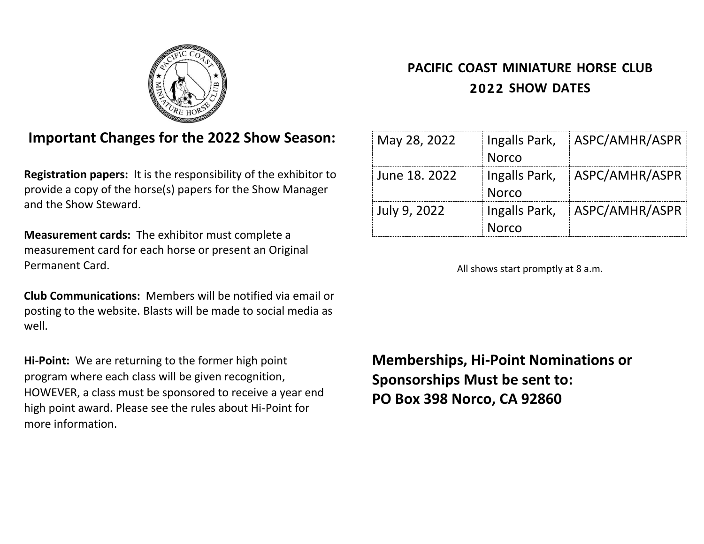

# **PACIFIC COAST MINIATURE HORSE CLUB SHOW DATES**

# **Important Changes for the 2022 Show Season:**

**Registration papers:** It is the responsibility of the exhibitor to provide a copy of the horse(s) papers for the Show Manager and the Show Steward.

**Measurement cards:** The exhibitor must complete a measurement card for each horse or present an Original Permanent Card.

**Club Communications:** Members will be notified via email or posting to the website. Blasts will be made to social media as well.

**Hi-Point:** We are returning to the former high point program where each class will be given recognition, HOWEVER, a class must be sponsored to receive a year end high point award. Please see the rules about Hi-Point for more information.

| May 28, 2022  |                               | Ingalls Park,   ASPC/AMHR/ASPR |
|---------------|-------------------------------|--------------------------------|
|               | <b>Norco</b>                  |                                |
| June 18, 2022 | <b>Norco</b>                  | Ingalls Park,   ASPC/AMHR/ASPR |
| July 9, 2022  | Ingalls Park,<br><b>Norco</b> | ASPC/AMHR/ASPR                 |

All shows start promptly at 8 a.m.

**Memberships, Hi-Point Nominations or Sponsorships Must be sent to: PO Box 398 Norco, CA 92860**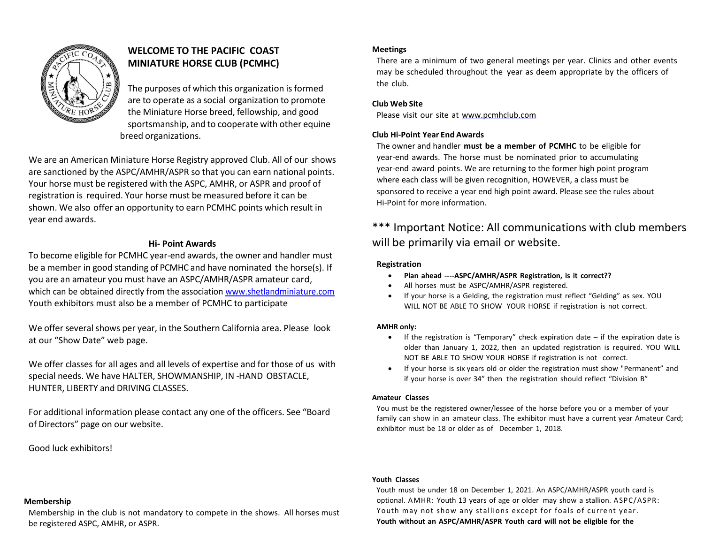

# **WELCOME TO THE PACIFIC COAST MINIATURE HORSE CLUB (PCMHC)**

The purposes of which this organization is formed are to operate as a social organization to promote the Miniature Horse breed, fellowship, and good sportsmanship, and to cooperate with other equine breed organizations.

We are an American Miniature Horse Registry approved Club. All of our shows are sanctioned by the ASPC/AMHR/ASPR so that you can earn national points. Your horse must be registered with the ASPC, AMHR, or ASPR and proof of registration is required. Your horse must be measured before it can be shown. We also offer an opportunity to earn PCMHC points which result in year end awards.

# **Hi- Point Awards**

To become eligible for PCMHC year-end awards, the owner and handler must be a member in good standing of PCMHC and have nominated the horse(s). If you are an amateur you must have an ASPC/AMHR/ASPR amateur card, which can be obtained directly from the associatio[n www.shetlandminiature.com](http://www.shetlandminiature.com/) Youth exhibitors must also be a member of PCMHC to participate

We offer several shows per year, in the Southern California area. Please look at our "Show Date" web page.

We offer classes for all ages and all levels of expertise and for those of us with special needs. We have HALTER, SHOWMANSHIP, IN -HAND OBSTACLE, HUNTER, LIBERTY and DRIVING CLASSES.

For additional information please contact any one of the officers. See "Board of Directors" page on our website.

# Good luck exhibitors!

# **Meetings**

There are a minimum of two general meetings per year. Clinics and other events may be scheduled throughout the year as deem appropriate by the officers of the club.

## **Club Web Site**

Please visit our site at [www.pcmhclub.com](http://www.pcmhclub.com/)

## **Club Hi-Point Year End Awards**

The owner and handler **must be a member of PCMHC** to be eligible for year-end awards. The horse must be nominated prior to accumulating year-end award points. We are returning to the former high point program where each class will be given recognition, HOWEVER, a class must be sponsored to receive a year end high point award. Please see the rules about Hi-Point for more information.

# \*\*\* Important Notice: All communications with club members will be primarily via email or website.

### **Registration**

- **Plan ahead ----ASPC/AMHR/ASPR Registration, is it correct??**
- All horses must be ASPC/AMHR/ASPR registered.
- If your horse is a Gelding, the registration must reflect "Gelding" as sex. YOU WILL NOT BE ABLE TO SHOW YOUR HORSE if registration is not correct.

## **AMHR only:**

- If the registration is "Temporary" check expiration date if the expiration date is older than January 1, 2022, then an updated registration is required. YOU WILL NOT BE ABLE TO SHOW YOUR HORSE if registration is not correct.
- If your horse is six years old or older the registration must show "Permanent" and if your horse is over 34" then the registration should reflect "Division B"

#### **Amateur Classes**

You must be the registered owner/lessee of the horse before you or a member of your family can show in an amateur class. The exhibitor must have a current year Amateur Card; exhibitor must be 18 or older as of December 1, 2018.

#### **Youth Classes**

Youth must be under 18 on December 1, 2021. An ASPC/AMHR/ASPR youth card is optional. AMHR: Youth 13 years of age or older may show a stallion. ASPC/ASPR: Youth may not show any stallions except for foals of current year. **Youth without an ASPC/AMHR/ASPR Youth card will not be eligible for the**

#### **Membership**

Membership in the club is not mandatory to compete in the shows. All horses must be registered ASPC, AMHR, or ASPR.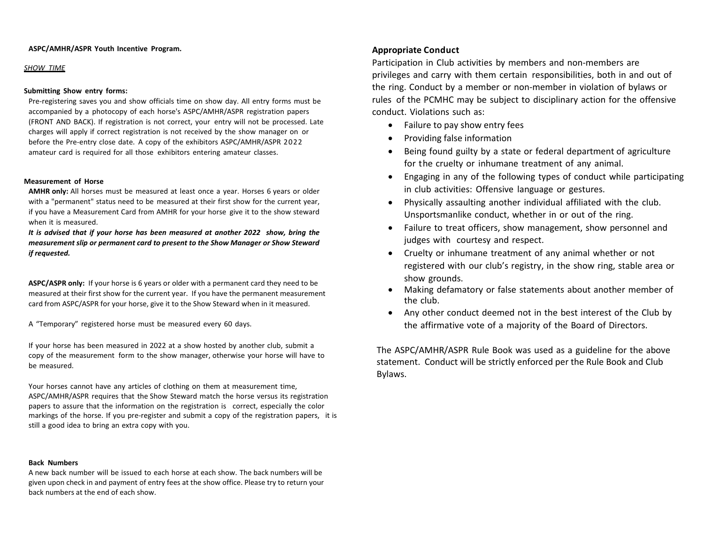#### **ASPC/AMHR/ASPR Youth Incentive Program.**

#### *SHOW TIME*

#### **Submitting Show entry forms:**

Pre-registering saves you and show officials time on show day. All entry forms must be accompanied by a photocopy of each horse's ASPC/AMHR/ASPR registration papers (FRONT AND BACK). If registration is not correct, your entry will not be processed. Late charges will apply if correct registration is not received by the show manager on or before the Pre-entry close date. A copy of the exhibitors ASPC/AMHR/ASPR 2022 amateur card is required for all those exhibitors entering amateur classes.

#### **Measurement of Horse**

**AMHR only:** All horses must be measured at least once a year. Horses 6 years or older with a "permanent" status need to be measured at their first show for the current year, if you have a Measurement Card from AMHR for your horse give it to the show steward when it is measured.

*It is advised that if your horse has been measured at another 2022 show, bring the measurement slip or permanent card to present to the Show Manager or Show Steward if requested.*

**ASPC/ASPR only:** If your horse is 6 years or older with a permanent card they need to be measured at their first show for the current year. If you have the permanent measurement card from ASPC/ASPR for your horse, give it to the Show Steward when in it measured.

A "Temporary" registered horse must be measured every 60 days.

If your horse has been measured in 2022 at a show hosted by another club, submit a copy of the measurement form to the show manager, otherwise your horse will have to be measured.

Your horses cannot have any articles of clothing on them at measurement time, ASPC/AMHR/ASPR requires that the Show Steward match the horse versus its registration papers to assure that the information on the registration is correct, especially the color markings of the horse. If you pre-register and submit a copy of the registration papers, it is still a good idea to bring an extra copy with you.

#### **Back Numbers**

A new back number will be issued to each horse at each show. The back numbers will be given upon check in and payment of entry fees at the show office. Please try to return your back numbers at the end of each show.

# **Appropriate Conduct**

Participation in Club activities by members and non-members are privileges and carry with them certain responsibilities, both in and out of the ring. Conduct by a member or non-member in violation of bylaws or rules of the PCMHC may be subject to disciplinary action for the offensive conduct. Violations such as:

- Failure to pay show entry fees
- Providing false information
- Being found guilty by a state or federal department of agriculture for the cruelty or inhumane treatment of any animal.
- Engaging in any of the following types of conduct while participating in club activities: Offensive language or gestures.
- Physically assaulting another individual affiliated with the club. Unsportsmanlike conduct, whether in or out of the ring.
- Failure to treat officers, show management, show personnel and judges with courtesy and respect.
- Cruelty or inhumane treatment of any animal whether or not registered with our club's registry, in the show ring, stable area or show grounds.
- Making defamatory or false statements about another member of the club.
- Any other conduct deemed not in the best interest of the Club by the affirmative vote of a majority of the Board of Directors.

The ASPC/AMHR/ASPR Rule Book was used as a guideline for the above statement. Conduct will be strictly enforced per the Rule Book and Club Bylaws.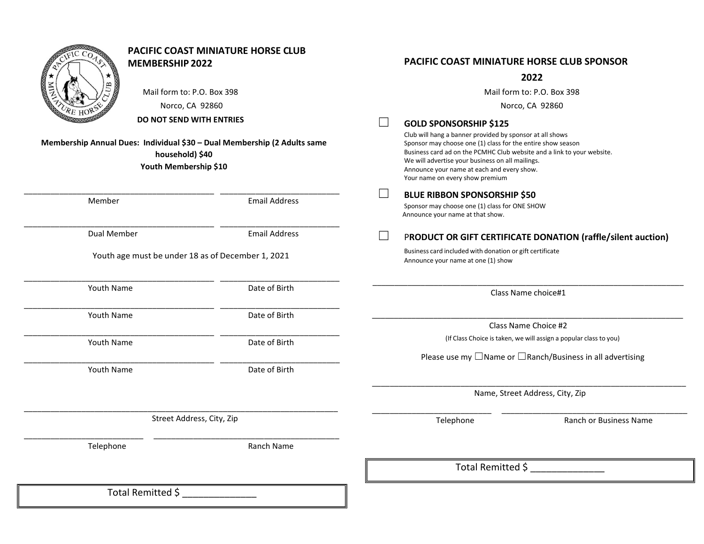| <b>MEMBERSHIP 2022</b><br>Mail form to: P.O. Box 398<br>Norco, CA 92860<br>DO NOT SEND WITH ENTRIES<br>Membership Annual Dues: Individual \$30 - Dual Membership (2 Adults same<br>household) \$40<br>Youth Membership \$10 | <b>PACIFIC COAST MINIATURE HORSE CLUB</b> | <b>GOLD SPONSORSHIP \$125</b><br>Club will hang a banner provided by sponsor at all shows<br>Sponsor may choose one (1) class for the entire show season<br>We will advertise your business on all mailings.<br>Announce your name at each and every show.<br>Your name on every show premium | <b>PACIFIC COAST MINIATURE HORSE CLUB SPONSOR</b><br>2022<br>Mail form to: P.O. Box 398<br>Norco, CA 92860<br>Business card ad on the PCMHC Club website and a link to your website. |
|-----------------------------------------------------------------------------------------------------------------------------------------------------------------------------------------------------------------------------|-------------------------------------------|-----------------------------------------------------------------------------------------------------------------------------------------------------------------------------------------------------------------------------------------------------------------------------------------------|--------------------------------------------------------------------------------------------------------------------------------------------------------------------------------------|
| Member                                                                                                                                                                                                                      | <b>Email Address</b>                      | <b>BLUE RIBBON SPONSORSHIP \$50</b><br>Sponsor may choose one (1) class for ONE SHOW<br>Announce your name at that show.                                                                                                                                                                      |                                                                                                                                                                                      |
| Dual Member                                                                                                                                                                                                                 | <b>Email Address</b>                      | $\mathbb{R}^n$                                                                                                                                                                                                                                                                                | PRODUCT OR GIFT CERTIFICATE DONATION (raffle/silent auction)                                                                                                                         |
| Youth age must be under 18 as of December 1, 2021                                                                                                                                                                           |                                           | Business card included with donation or gift certificate<br>Announce your name at one (1) show                                                                                                                                                                                                |                                                                                                                                                                                      |
| Youth Name                                                                                                                                                                                                                  | Date of Birth                             |                                                                                                                                                                                                                                                                                               | Class Name choice#1                                                                                                                                                                  |
| Youth Name                                                                                                                                                                                                                  | Date of Birth                             |                                                                                                                                                                                                                                                                                               |                                                                                                                                                                                      |
|                                                                                                                                                                                                                             |                                           |                                                                                                                                                                                                                                                                                               | Class Name Choice #2                                                                                                                                                                 |
| Youth Name                                                                                                                                                                                                                  | Date of Birth                             |                                                                                                                                                                                                                                                                                               | (If Class Choice is taken, we will assign a popular class to you)                                                                                                                    |
|                                                                                                                                                                                                                             |                                           |                                                                                                                                                                                                                                                                                               | Please use my $\Box$ Name or $\Box$ Ranch/Business in all advertising                                                                                                                |
| Youth Name                                                                                                                                                                                                                  | Date of Birth                             |                                                                                                                                                                                                                                                                                               |                                                                                                                                                                                      |
|                                                                                                                                                                                                                             |                                           |                                                                                                                                                                                                                                                                                               | Name, Street Address, City, Zip                                                                                                                                                      |
| Street Address, City, Zip                                                                                                                                                                                                   |                                           | Telephone                                                                                                                                                                                                                                                                                     | Ranch or Business Name                                                                                                                                                               |
| Telephone                                                                                                                                                                                                                   | Ranch Name                                |                                                                                                                                                                                                                                                                                               |                                                                                                                                                                                      |
|                                                                                                                                                                                                                             |                                           | Total Remitted \$                                                                                                                                                                                                                                                                             |                                                                                                                                                                                      |
| Total Remitted \$                                                                                                                                                                                                           |                                           |                                                                                                                                                                                                                                                                                               |                                                                                                                                                                                      |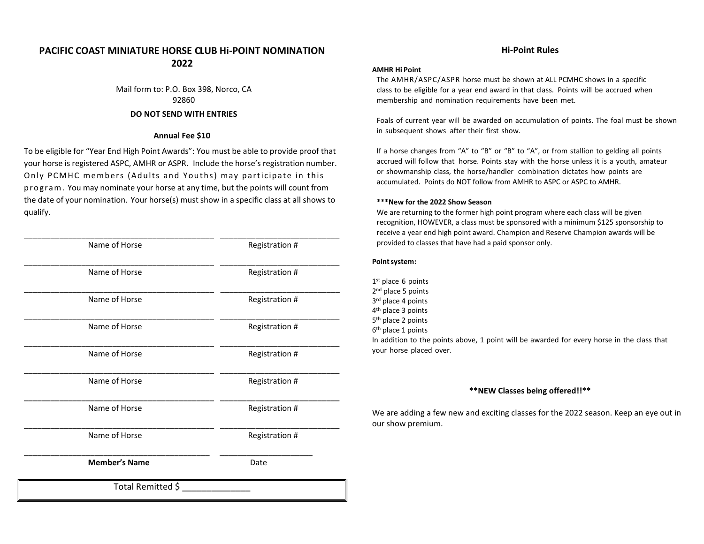# **PACIFIC COAST MINIATURE HORSE CLUB Hi-POINT NOMINATION 2022**

Mail form to: P.O. Box 398, Norco, CA 92860 **DO NOT SEND WITH ENTRIES**

#### **Annual Fee \$10**

To be eligible for "Year End High Point Awards": You must be able to provide proof that your horse is registered ASPC, AMHR or ASPR. Include the horse's registration number. Only PCMHC members (Adults and Youths) may participate in this p r og ra m . You may nominate your horse at any time, but the points will count from the date of your nomination. Your horse(s) must show in a specific class at all shows to qualify.

| Total Remitted \$    |                |
|----------------------|----------------|
| <b>Member's Name</b> | Date           |
| Name of Horse        | Registration # |
| Name of Horse        | Registration # |
| Name of Horse        | Registration # |
| Name of Horse        | Registration # |
| Name of Horse        | Registration # |
| Name of Horse        | Registration # |
| Name of Horse        | Registration # |
| Name of Horse        | Registration # |
|                      |                |

#### **Hi-Point Rules**

#### **AMHR Hi Point**

The AMHR/ASPC/ASPR horse must be shown at ALL PCMHC shows in a specific class to be eligible for a year end award in that class. Points will be accrued when membership and nomination requirements have been met.

Foals of current year will be awarded on accumulation of points. The foal must be shown in subsequent shows after their first show.

If a horse changes from "A" to "B" or "B" to "A", or from stallion to gelding all points accrued will follow that horse. Points stay with the horse unless it is a youth, amateur or showmanship class, the horse/handler combination dictates how points are accumulated. Points do NOT follow from AMHR to ASPC or ASPC to AMHR.

#### **\*\*\*New for the 2022 Show Season**

We are returning to the former high point program where each class will be given recognition, HOWEVER, a class must be sponsored with a minimum \$125 sponsorship to receive a year end high point award. Champion and Reserve Champion awards will be provided to classes that have had a paid sponsor only.

#### **Pointsystem:**

1st place 6 points 2<sup>nd</sup> place 5 points 3 rd place 4 points 4 th place 3 points 5 th place 2 points 6 th place 1 points In addition to the points above, 1 point will be awarded for every horse in the class that your horse placed over.

#### **\*\*NEW Classes being offered!!\*\***

We are adding a few new and exciting classes for the 2022 season. Keep an eye out in our show premium.